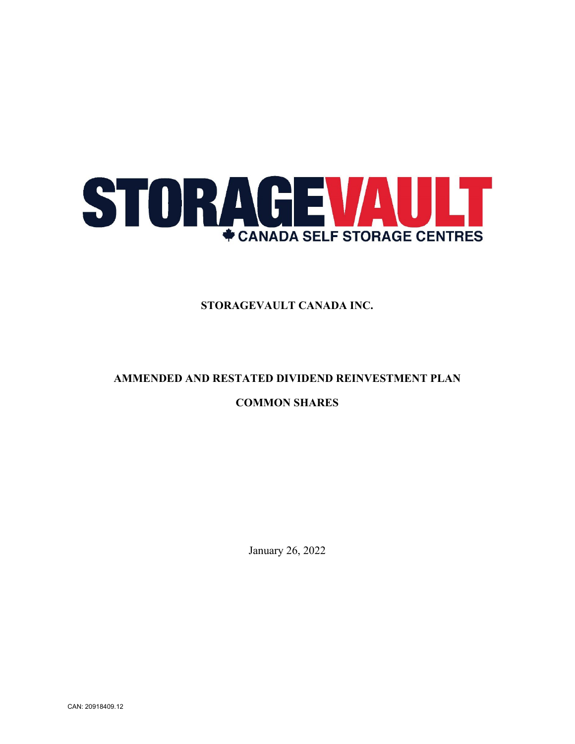

**STORAGEVAULT CANADA INC.**

# **AMMENDED AND RESTATED DIVIDEND REINVESTMENT PLAN COMMON SHARES**

January 26, 2022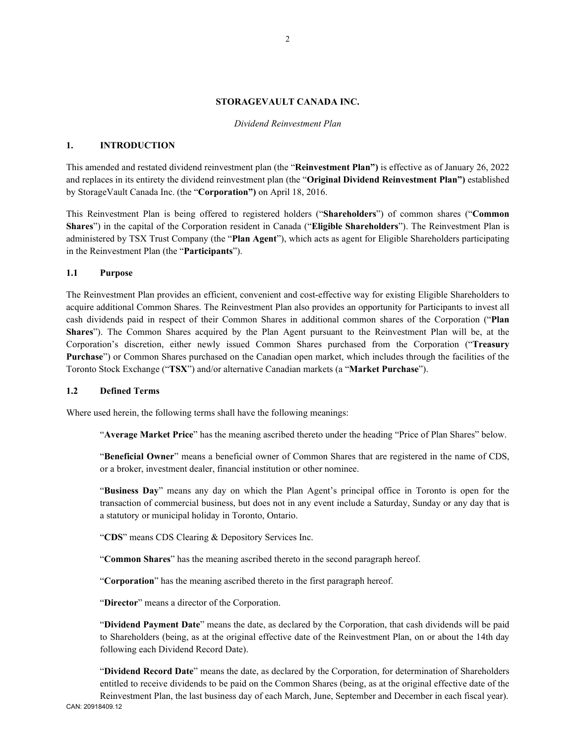#### **STORAGEVAULT CANADA INC.**

#### *Dividend Reinvestment Plan*

## **1. INTRODUCTION**

This amended and restated dividend reinvestment plan (the "**Reinvestment Plan")** is effective as of January 26, 2022 and replaces in its entirety the dividend reinvestment plan (the "**Original Dividend Reinvestment Plan")** established by StorageVault Canada Inc. (the "**Corporation")** on April 18, 2016.

This Reinvestment Plan is being offered to registered holders ("**Shareholders**") of common shares ("**Common Shares**") in the capital of the Corporation resident in Canada ("**Eligible Shareholders**"). The Reinvestment Plan is administered by TSX Trust Company (the "**Plan Agent**"), which acts as agent for Eligible Shareholders participating in the Reinvestment Plan (the "**Participants**").

#### **1.1 Purpose**

The Reinvestment Plan provides an efficient, convenient and cost-effective way for existing Eligible Shareholders to acquire additional Common Shares. The Reinvestment Plan also provides an opportunity for Participants to invest all cash dividends paid in respect of their Common Shares in additional common shares of the Corporation ("**Plan Shares**"). The Common Shares acquired by the Plan Agent pursuant to the Reinvestment Plan will be, at the Corporation's discretion, either newly issued Common Shares purchased from the Corporation ("**Treasury Purchase**") or Common Shares purchased on the Canadian open market, which includes through the facilities of the Toronto Stock Exchange ("**TSX**") and/or alternative Canadian markets (a "**Market Purchase**").

#### **1.2 Defined Terms**

Where used herein, the following terms shall have the following meanings:

"**Average Market Price**" has the meaning ascribed thereto under the heading "Price of Plan Shares" below.

"**Beneficial Owner**" means a beneficial owner of Common Shares that are registered in the name of CDS, or a broker, investment dealer, financial institution or other nominee.

"**Business Day**" means any day on which the Plan Agent's principal office in Toronto is open for the transaction of commercial business, but does not in any event include a Saturday, Sunday or any day that is a statutory or municipal holiday in Toronto, Ontario.

"**CDS**" means CDS Clearing & Depository Services Inc.

"**Common Shares**" has the meaning ascribed thereto in the second paragraph hereof.

"**Corporation**" has the meaning ascribed thereto in the first paragraph hereof.

"**Director**" means a director of the Corporation.

"**Dividend Payment Date**" means the date, as declared by the Corporation, that cash dividends will be paid to Shareholders (being, as at the original effective date of the Reinvestment Plan, on or about the 14th day following each Dividend Record Date).

CAN: 20918409.12 "**Dividend Record Date**" means the date, as declared by the Corporation, for determination of Shareholders entitled to receive dividends to be paid on the Common Shares (being, as at the original effective date of the Reinvestment Plan, the last business day of each March, June, September and December in each fiscal year).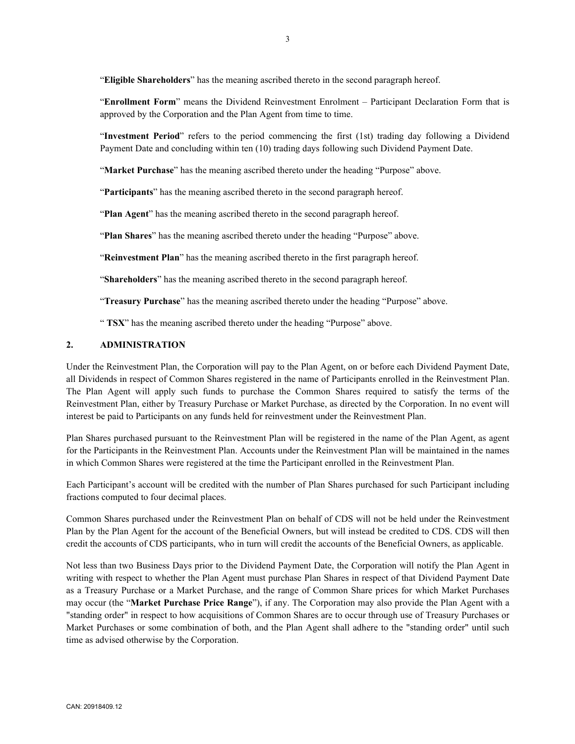"**Eligible Shareholders**" has the meaning ascribed thereto in the second paragraph hereof.

"**Enrollment Form**" means the Dividend Reinvestment Enrolment – Participant Declaration Form that is approved by the Corporation and the Plan Agent from time to time.

"**Investment Period**" refers to the period commencing the first (1st) trading day following a Dividend Payment Date and concluding within ten (10) trading days following such Dividend Payment Date.

"Market Purchase" has the meaning ascribed thereto under the heading "Purpose" above.

"**Participants**" has the meaning ascribed thereto in the second paragraph hereof.

"**Plan Agent**" has the meaning ascribed thereto in the second paragraph hereof.

"**Plan Shares**" has the meaning ascribed thereto under the heading "Purpose" above.

"**Reinvestment Plan**" has the meaning ascribed thereto in the first paragraph hereof.

"**Shareholders**" has the meaning ascribed thereto in the second paragraph hereof.

"**Treasury Purchase**" has the meaning ascribed thereto under the heading "Purpose" above.

" **TSX**" has the meaning ascribed thereto under the heading "Purpose" above.

#### **2. ADMINISTRATION**

Under the Reinvestment Plan, the Corporation will pay to the Plan Agent, on or before each Dividend Payment Date, all Dividends in respect of Common Shares registered in the name of Participants enrolled in the Reinvestment Plan. The Plan Agent will apply such funds to purchase the Common Shares required to satisfy the terms of the Reinvestment Plan, either by Treasury Purchase or Market Purchase, as directed by the Corporation. In no event will interest be paid to Participants on any funds held for reinvestment under the Reinvestment Plan.

Plan Shares purchased pursuant to the Reinvestment Plan will be registered in the name of the Plan Agent, as agent for the Participants in the Reinvestment Plan. Accounts under the Reinvestment Plan will be maintained in the names in which Common Shares were registered at the time the Participant enrolled in the Reinvestment Plan.

Each Participant's account will be credited with the number of Plan Shares purchased for such Participant including fractions computed to four decimal places.

Common Shares purchased under the Reinvestment Plan on behalf of CDS will not be held under the Reinvestment Plan by the Plan Agent for the account of the Beneficial Owners, but will instead be credited to CDS. CDS will then credit the accounts of CDS participants, who in turn will credit the accounts of the Beneficial Owners, as applicable.

Not less than two Business Days prior to the Dividend Payment Date, the Corporation will notify the Plan Agent in writing with respect to whether the Plan Agent must purchase Plan Shares in respect of that Dividend Payment Date as a Treasury Purchase or a Market Purchase, and the range of Common Share prices for which Market Purchases may occur (the "**Market Purchase Price Range**"), if any. The Corporation may also provide the Plan Agent with a "standing order" in respect to how acquisitions of Common Shares are to occur through use of Treasury Purchases or Market Purchases or some combination of both, and the Plan Agent shall adhere to the "standing order" until such time as advised otherwise by the Corporation.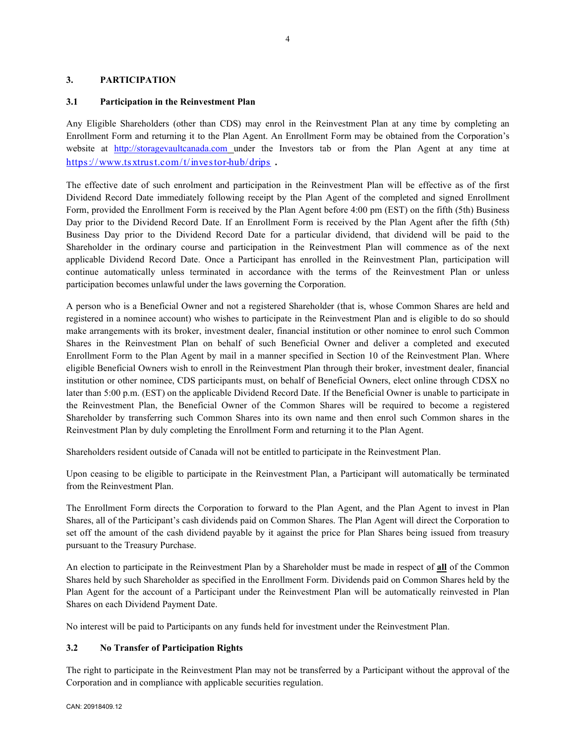# **3. PARTICIPATION**

# **3.1 Participation in the Reinvestment Plan**

Any Eligible Shareholders (other than CDS) may enrol in the Reinvestment Plan at any time by completing an Enrollment Form and returning it to the Plan Agent. An Enrollment Form may be obtained from the Corporation's website at [http://storagevaultcanada.com](http://storagevaultcanda.com/) under the Investors tab or from the Plan Agent at any time at https://www.tsxtrust.com/t/investor-hub/drips.

The effective date of such enrolment and participation in the Reinvestment Plan will be effective as of the first Dividend Record Date immediately following receipt by the Plan Agent of the completed and signed Enrollment Form, provided the Enrollment Form is received by the Plan Agent before 4:00 pm (EST) on the fifth (5th) Business Day prior to the Dividend Record Date. If an Enrollment Form is received by the Plan Agent after the fifth (5th) Business Day prior to the Dividend Record Date for a particular dividend, that dividend will be paid to the Shareholder in the ordinary course and participation in the Reinvestment Plan will commence as of the next applicable Dividend Record Date. Once a Participant has enrolled in the Reinvestment Plan, participation will continue automatically unless terminated in accordance with the terms of the Reinvestment Plan or unless participation becomes unlawful under the laws governing the Corporation.

A person who is a Beneficial Owner and not a registered Shareholder (that is, whose Common Shares are held and registered in a nominee account) who wishes to participate in the Reinvestment Plan and is eligible to do so should make arrangements with its broker, investment dealer, financial institution or other nominee to enrol such Common Shares in the Reinvestment Plan on behalf of such Beneficial Owner and deliver a completed and executed Enrollment Form to the Plan Agent by mail in a manner specified in Section 10 of the Reinvestment Plan. Where eligible Beneficial Owners wish to enroll in the Reinvestment Plan through their broker, investment dealer, financial institution or other nominee, CDS participants must, on behalf of Beneficial Owners, elect online through CDSX no later than 5:00 p.m. (EST) on the applicable Dividend Record Date. If the Beneficial Owner is unable to participate in the Reinvestment Plan, the Beneficial Owner of the Common Shares will be required to become a registered Shareholder by transferring such Common Shares into its own name and then enrol such Common shares in the Reinvestment Plan by duly completing the Enrollment Form and returning it to the Plan Agent.

Shareholders resident outside of Canada will not be entitled to participate in the Reinvestment Plan.

Upon ceasing to be eligible to participate in the Reinvestment Plan, a Participant will automatically be terminated from the Reinvestment Plan.

The Enrollment Form directs the Corporation to forward to the Plan Agent, and the Plan Agent to invest in Plan Shares, all of the Participant's cash dividends paid on Common Shares. The Plan Agent will direct the Corporation to set off the amount of the cash dividend payable by it against the price for Plan Shares being issued from treasury pursuant to the Treasury Purchase.

An election to participate in the Reinvestment Plan by a Shareholder must be made in respect of **all** of the Common Shares held by such Shareholder as specified in the Enrollment Form. Dividends paid on Common Shares held by the Plan Agent for the account of a Participant under the Reinvestment Plan will be automatically reinvested in Plan Shares on each Dividend Payment Date.

No interest will be paid to Participants on any funds held for investment under the Reinvestment Plan.

# **3.2 No Transfer of Participation Rights**

The right to participate in the Reinvestment Plan may not be transferred by a Participant without the approval of the Corporation and in compliance with applicable securities regulation.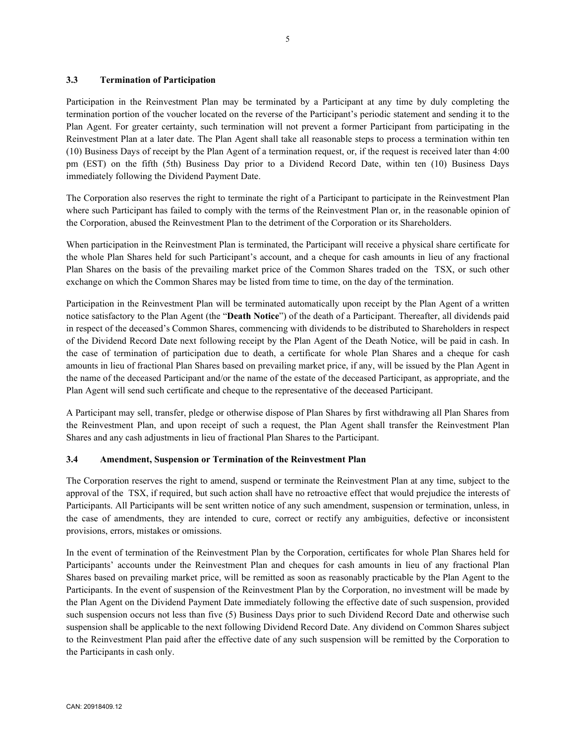## **3.3 Termination of Participation**

Participation in the Reinvestment Plan may be terminated by a Participant at any time by duly completing the termination portion of the voucher located on the reverse of the Participant's periodic statement and sending it to the Plan Agent. For greater certainty, such termination will not prevent a former Participant from participating in the Reinvestment Plan at a later date. The Plan Agent shall take all reasonable steps to process a termination within ten (10) Business Days of receipt by the Plan Agent of a termination request, or, if the request is received later than 4:00 pm (EST) on the fifth (5th) Business Day prior to a Dividend Record Date, within ten (10) Business Days immediately following the Dividend Payment Date.

The Corporation also reserves the right to terminate the right of a Participant to participate in the Reinvestment Plan where such Participant has failed to comply with the terms of the Reinvestment Plan or, in the reasonable opinion of the Corporation, abused the Reinvestment Plan to the detriment of the Corporation or its Shareholders.

When participation in the Reinvestment Plan is terminated, the Participant will receive a physical share certificate for the whole Plan Shares held for such Participant's account, and a cheque for cash amounts in lieu of any fractional Plan Shares on the basis of the prevailing market price of the Common Shares traded on the TSX, or such other exchange on which the Common Shares may be listed from time to time, on the day of the termination.

Participation in the Reinvestment Plan will be terminated automatically upon receipt by the Plan Agent of a written notice satisfactory to the Plan Agent (the "**Death Notice**") of the death of a Participant. Thereafter, all dividends paid in respect of the deceased's Common Shares, commencing with dividends to be distributed to Shareholders in respect of the Dividend Record Date next following receipt by the Plan Agent of the Death Notice, will be paid in cash. In the case of termination of participation due to death, a certificate for whole Plan Shares and a cheque for cash amounts in lieu of fractional Plan Shares based on prevailing market price, if any, will be issued by the Plan Agent in the name of the deceased Participant and/or the name of the estate of the deceased Participant, as appropriate, and the Plan Agent will send such certificate and cheque to the representative of the deceased Participant.

A Participant may sell, transfer, pledge or otherwise dispose of Plan Shares by first withdrawing all Plan Shares from the Reinvestment Plan, and upon receipt of such a request, the Plan Agent shall transfer the Reinvestment Plan Shares and any cash adjustments in lieu of fractional Plan Shares to the Participant.

#### **3.4 Amendment, Suspension or Termination of the Reinvestment Plan**

The Corporation reserves the right to amend, suspend or terminate the Reinvestment Plan at any time, subject to the approval of the TSX, if required, but such action shall have no retroactive effect that would prejudice the interests of Participants. All Participants will be sent written notice of any such amendment, suspension or termination, unless, in the case of amendments, they are intended to cure, correct or rectify any ambiguities, defective or inconsistent provisions, errors, mistakes or omissions.

In the event of termination of the Reinvestment Plan by the Corporation, certificates for whole Plan Shares held for Participants' accounts under the Reinvestment Plan and cheques for cash amounts in lieu of any fractional Plan Shares based on prevailing market price, will be remitted as soon as reasonably practicable by the Plan Agent to the Participants. In the event of suspension of the Reinvestment Plan by the Corporation, no investment will be made by the Plan Agent on the Dividend Payment Date immediately following the effective date of such suspension, provided such suspension occurs not less than five (5) Business Days prior to such Dividend Record Date and otherwise such suspension shall be applicable to the next following Dividend Record Date. Any dividend on Common Shares subject to the Reinvestment Plan paid after the effective date of any such suspension will be remitted by the Corporation to the Participants in cash only.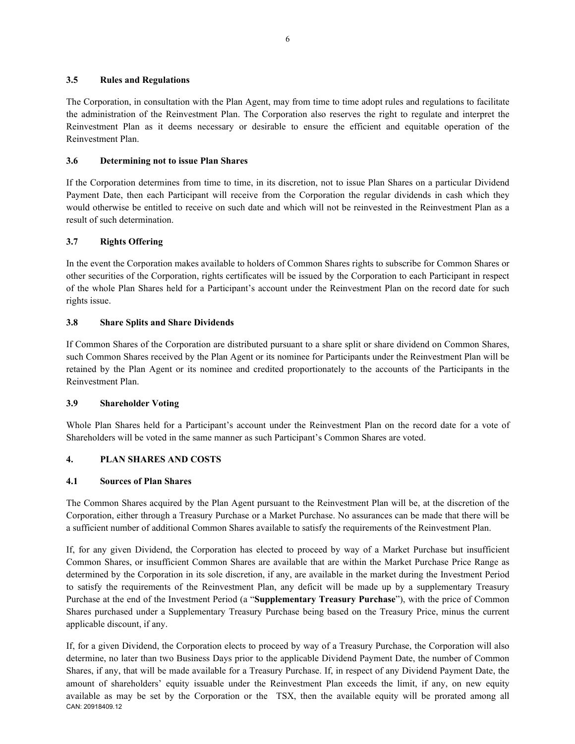## **3.5 Rules and Regulations**

The Corporation, in consultation with the Plan Agent, may from time to time adopt rules and regulations to facilitate the administration of the Reinvestment Plan. The Corporation also reserves the right to regulate and interpret the Reinvestment Plan as it deems necessary or desirable to ensure the efficient and equitable operation of the Reinvestment Plan.

# **3.6 Determining not to issue Plan Shares**

If the Corporation determines from time to time, in its discretion, not to issue Plan Shares on a particular Dividend Payment Date, then each Participant will receive from the Corporation the regular dividends in cash which they would otherwise be entitled to receive on such date and which will not be reinvested in the Reinvestment Plan as a result of such determination.

# **3.7 Rights Offering**

In the event the Corporation makes available to holders of Common Shares rights to subscribe for Common Shares or other securities of the Corporation, rights certificates will be issued by the Corporation to each Participant in respect of the whole Plan Shares held for a Participant's account under the Reinvestment Plan on the record date for such rights issue.

# **3.8 Share Splits and Share Dividends**

If Common Shares of the Corporation are distributed pursuant to a share split or share dividend on Common Shares, such Common Shares received by the Plan Agent or its nominee for Participants under the Reinvestment Plan will be retained by the Plan Agent or its nominee and credited proportionately to the accounts of the Participants in the Reinvestment Plan.

# **3.9 Shareholder Voting**

Whole Plan Shares held for a Participant's account under the Reinvestment Plan on the record date for a vote of Shareholders will be voted in the same manner as such Participant's Common Shares are voted.

# **4. PLAN SHARES AND COSTS**

# **4.1 Sources of Plan Shares**

The Common Shares acquired by the Plan Agent pursuant to the Reinvestment Plan will be, at the discretion of the Corporation, either through a Treasury Purchase or a Market Purchase. No assurances can be made that there will be a sufficient number of additional Common Shares available to satisfy the requirements of the Reinvestment Plan.

If, for any given Dividend, the Corporation has elected to proceed by way of a Market Purchase but insufficient Common Shares, or insufficient Common Shares are available that are within the Market Purchase Price Range as determined by the Corporation in its sole discretion, if any, are available in the market during the Investment Period to satisfy the requirements of the Reinvestment Plan, any deficit will be made up by a supplementary Treasury Purchase at the end of the Investment Period (a "**Supplementary Treasury Purchase**"), with the price of Common Shares purchased under a Supplementary Treasury Purchase being based on the Treasury Price, minus the current applicable discount, if any.

CAN: 20918409.12 If, for a given Dividend, the Corporation elects to proceed by way of a Treasury Purchase, the Corporation will also determine, no later than two Business Days prior to the applicable Dividend Payment Date, the number of Common Shares, if any, that will be made available for a Treasury Purchase. If, in respect of any Dividend Payment Date, the amount of shareholders' equity issuable under the Reinvestment Plan exceeds the limit, if any, on new equity available as may be set by the Corporation or the TSX, then the available equity will be prorated among all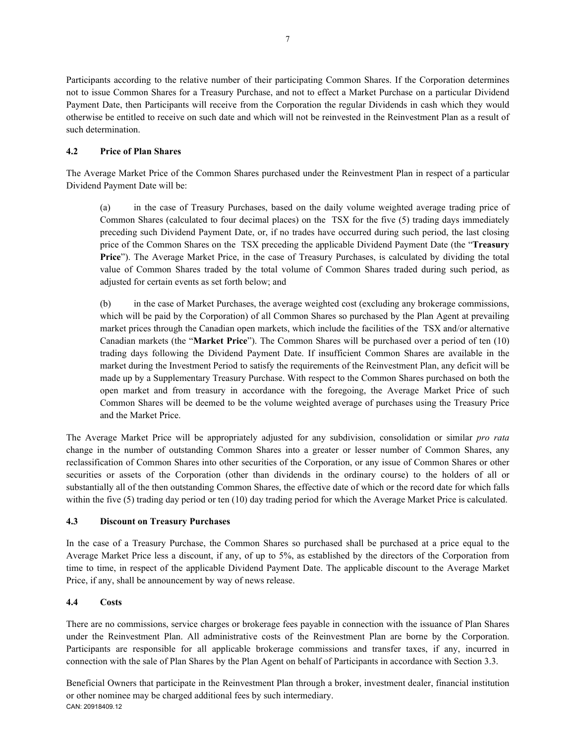Participants according to the relative number of their participating Common Shares. If the Corporation determines not to issue Common Shares for a Treasury Purchase, and not to effect a Market Purchase on a particular Dividend Payment Date, then Participants will receive from the Corporation the regular Dividends in cash which they would otherwise be entitled to receive on such date and which will not be reinvested in the Reinvestment Plan as a result of such determination.

# **4.2 Price of Plan Shares**

The Average Market Price of the Common Shares purchased under the Reinvestment Plan in respect of a particular Dividend Payment Date will be:

(a) in the case of Treasury Purchases, based on the daily volume weighted average trading price of Common Shares (calculated to four decimal places) on the TSX for the five (5) trading days immediately preceding such Dividend Payment Date, or, if no trades have occurred during such period, the last closing price of the Common Shares on the TSX preceding the applicable Dividend Payment Date (the "**Treasury Price**"). The Average Market Price, in the case of Treasury Purchases, is calculated by dividing the total value of Common Shares traded by the total volume of Common Shares traded during such period, as adjusted for certain events as set forth below; and

(b) in the case of Market Purchases, the average weighted cost (excluding any brokerage commissions, which will be paid by the Corporation) of all Common Shares so purchased by the Plan Agent at prevailing market prices through the Canadian open markets, which include the facilities of the TSX and/or alternative Canadian markets (the "**Market Price**"). The Common Shares will be purchased over a period of ten (10) trading days following the Dividend Payment Date. If insufficient Common Shares are available in the market during the Investment Period to satisfy the requirements of the Reinvestment Plan, any deficit will be made up by a Supplementary Treasury Purchase. With respect to the Common Shares purchased on both the open market and from treasury in accordance with the foregoing, the Average Market Price of such Common Shares will be deemed to be the volume weighted average of purchases using the Treasury Price and the Market Price.

The Average Market Price will be appropriately adjusted for any subdivision, consolidation or similar *pro rata*  change in the number of outstanding Common Shares into a greater or lesser number of Common Shares, any reclassification of Common Shares into other securities of the Corporation, or any issue of Common Shares or other securities or assets of the Corporation (other than dividends in the ordinary course) to the holders of all or substantially all of the then outstanding Common Shares, the effective date of which or the record date for which falls within the five (5) trading day period or ten (10) day trading period for which the Average Market Price is calculated.

# **4.3 Discount on Treasury Purchases**

In the case of a Treasury Purchase, the Common Shares so purchased shall be purchased at a price equal to the Average Market Price less a discount, if any, of up to 5%, as established by the directors of the Corporation from time to time, in respect of the applicable Dividend Payment Date. The applicable discount to the Average Market Price, if any, shall be announcement by way of news release.

# **4.4 Costs**

There are no commissions, service charges or brokerage fees payable in connection with the issuance of Plan Shares under the Reinvestment Plan. All administrative costs of the Reinvestment Plan are borne by the Corporation. Participants are responsible for all applicable brokerage commissions and transfer taxes, if any, incurred in connection with the sale of Plan Shares by the Plan Agent on behalf of Participants in accordance with Section 3.3.

CAN: 20918409.12 Beneficial Owners that participate in the Reinvestment Plan through a broker, investment dealer, financial institution or other nominee may be charged additional fees by such intermediary.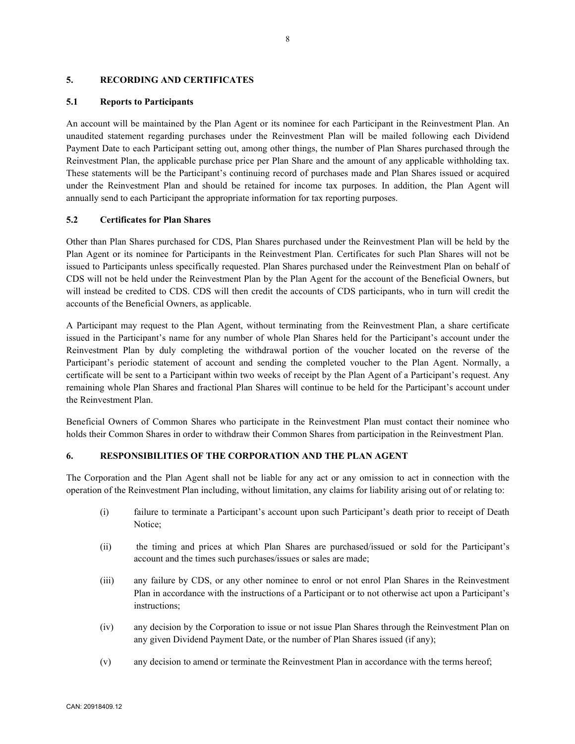#### **5. RECORDING AND CERTIFICATES**

#### **5.1 Reports to Participants**

An account will be maintained by the Plan Agent or its nominee for each Participant in the Reinvestment Plan. An unaudited statement regarding purchases under the Reinvestment Plan will be mailed following each Dividend Payment Date to each Participant setting out, among other things, the number of Plan Shares purchased through the Reinvestment Plan, the applicable purchase price per Plan Share and the amount of any applicable withholding tax. These statements will be the Participant's continuing record of purchases made and Plan Shares issued or acquired under the Reinvestment Plan and should be retained for income tax purposes. In addition, the Plan Agent will annually send to each Participant the appropriate information for tax reporting purposes.

## **5.2 Certificates for Plan Shares**

Other than Plan Shares purchased for CDS, Plan Shares purchased under the Reinvestment Plan will be held by the Plan Agent or its nominee for Participants in the Reinvestment Plan. Certificates for such Plan Shares will not be issued to Participants unless specifically requested. Plan Shares purchased under the Reinvestment Plan on behalf of CDS will not be held under the Reinvestment Plan by the Plan Agent for the account of the Beneficial Owners, but will instead be credited to CDS. CDS will then credit the accounts of CDS participants, who in turn will credit the accounts of the Beneficial Owners, as applicable.

A Participant may request to the Plan Agent, without terminating from the Reinvestment Plan, a share certificate issued in the Participant's name for any number of whole Plan Shares held for the Participant's account under the Reinvestment Plan by duly completing the withdrawal portion of the voucher located on the reverse of the Participant's periodic statement of account and sending the completed voucher to the Plan Agent. Normally, a certificate will be sent to a Participant within two weeks of receipt by the Plan Agent of a Participant's request. Any remaining whole Plan Shares and fractional Plan Shares will continue to be held for the Participant's account under the Reinvestment Plan.

Beneficial Owners of Common Shares who participate in the Reinvestment Plan must contact their nominee who holds their Common Shares in order to withdraw their Common Shares from participation in the Reinvestment Plan.

# **6. RESPONSIBILITIES OF THE CORPORATION AND THE PLAN AGENT**

The Corporation and the Plan Agent shall not be liable for any act or any omission to act in connection with the operation of the Reinvestment Plan including, without limitation, any claims for liability arising out of or relating to:

- (i) failure to terminate a Participant's account upon such Participant's death prior to receipt of Death Notice;
- (ii) the timing and prices at which Plan Shares are purchased/issued or sold for the Participant's account and the times such purchases/issues or sales are made;
- (iii) any failure by CDS, or any other nominee to enrol or not enrol Plan Shares in the Reinvestment Plan in accordance with the instructions of a Participant or to not otherwise act upon a Participant's instructions;
- (iv) any decision by the Corporation to issue or not issue Plan Shares through the Reinvestment Plan on any given Dividend Payment Date, or the number of Plan Shares issued (if any);
- (v) any decision to amend or terminate the Reinvestment Plan in accordance with the terms hereof;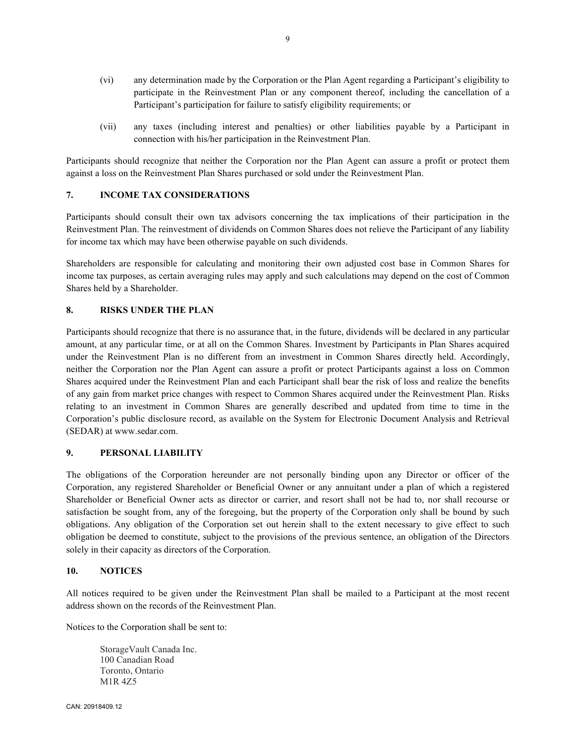- (vi) any determination made by the Corporation or the Plan Agent regarding a Participant's eligibility to participate in the Reinvestment Plan or any component thereof, including the cancellation of a Participant's participation for failure to satisfy eligibility requirements; or
- (vii) any taxes (including interest and penalties) or other liabilities payable by a Participant in connection with his/her participation in the Reinvestment Plan.

Participants should recognize that neither the Corporation nor the Plan Agent can assure a profit or protect them against a loss on the Reinvestment Plan Shares purchased or sold under the Reinvestment Plan.

## **7. INCOME TAX CONSIDERATIONS**

Participants should consult their own tax advisors concerning the tax implications of their participation in the Reinvestment Plan. The reinvestment of dividends on Common Shares does not relieve the Participant of any liability for income tax which may have been otherwise payable on such dividends.

Shareholders are responsible for calculating and monitoring their own adjusted cost base in Common Shares for income tax purposes, as certain averaging rules may apply and such calculations may depend on the cost of Common Shares held by a Shareholder.

## **8. RISKS UNDER THE PLAN**

Participants should recognize that there is no assurance that, in the future, dividends will be declared in any particular amount, at any particular time, or at all on the Common Shares. Investment by Participants in Plan Shares acquired under the Reinvestment Plan is no different from an investment in Common Shares directly held. Accordingly, neither the Corporation nor the Plan Agent can assure a profit or protect Participants against a loss on Common Shares acquired under the Reinvestment Plan and each Participant shall bear the risk of loss and realize the benefits of any gain from market price changes with respect to Common Shares acquired under the Reinvestment Plan. Risks relating to an investment in Common Shares are generally described and updated from time to time in the Corporation's public disclosure record, as available on the System for Electronic Document Analysis and Retrieval (SEDAR) at www.sedar.com.

#### **9. PERSONAL LIABILITY**

The obligations of the Corporation hereunder are not personally binding upon any Director or officer of the Corporation, any registered Shareholder or Beneficial Owner or any annuitant under a plan of which a registered Shareholder or Beneficial Owner acts as director or carrier, and resort shall not be had to, nor shall recourse or satisfaction be sought from, any of the foregoing, but the property of the Corporation only shall be bound by such obligations. Any obligation of the Corporation set out herein shall to the extent necessary to give effect to such obligation be deemed to constitute, subject to the provisions of the previous sentence, an obligation of the Directors solely in their capacity as directors of the Corporation.

# **10. NOTICES**

All notices required to be given under the Reinvestment Plan shall be mailed to a Participant at the most recent address shown on the records of the Reinvestment Plan.

Notices to the Corporation shall be sent to:

StorageVault Canada Inc. 100 Canadian Road Toronto, Ontario M1R 4Z5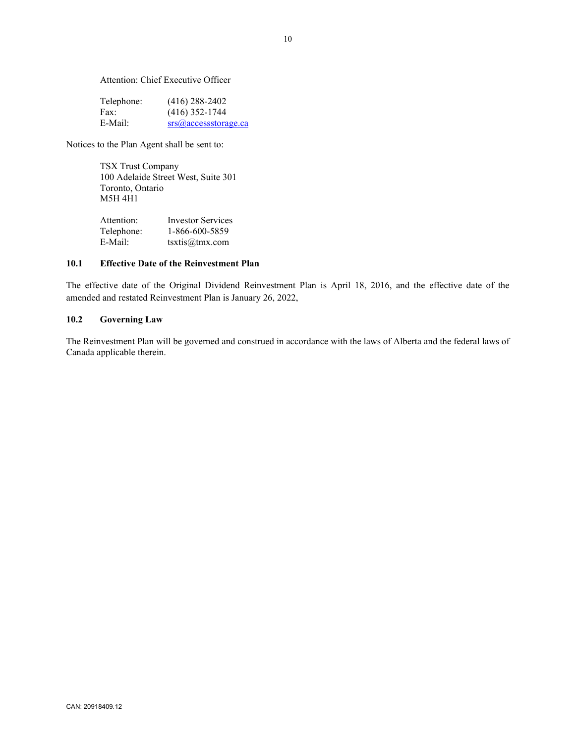Attention: Chief Executive Officer

| Telephone: | $(416)$ 288-2402          |
|------------|---------------------------|
| Fax:       | $(416)$ 352-1744          |
| E-Mail:    | $srs(a)$ accessstorage.ca |

Notices to the Plan Agent shall be sent to:

TSX Trust Company 100 Adelaide Street West, Suite 301 Toronto, Ontario M5H 4H1

| Attention: | <b>Investor Services</b> |
|------------|--------------------------|
| Telephone: | 1-866-600-5859           |
| E-Mail:    | textis@tmx.com           |

# **10.1 Effective Date of the Reinvestment Plan**

The effective date of the Original Dividend Reinvestment Plan is April 18, 2016, and the effective date of the amended and restated Reinvestment Plan is January 26, 2022,

## **10.2 Governing Law**

The Reinvestment Plan will be governed and construed in accordance with the laws of Alberta and the federal laws of Canada applicable therein.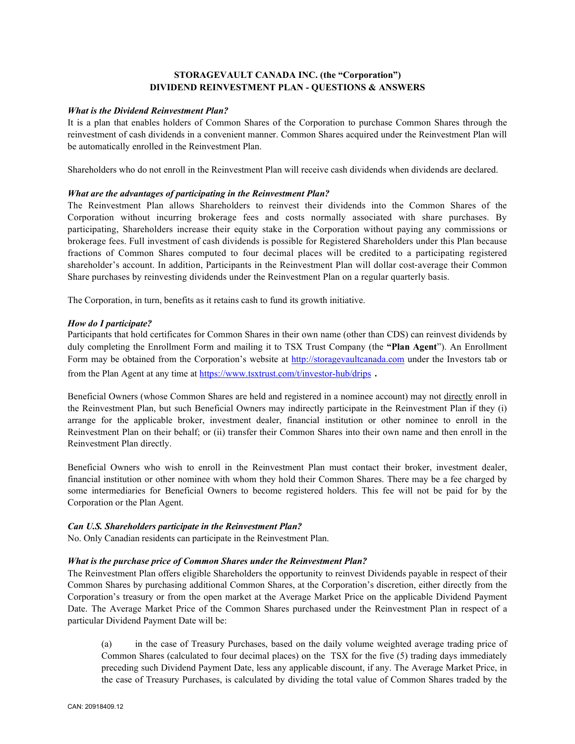# **STORAGEVAULT CANADA INC. (the "Corporation") DIVIDEND REINVESTMENT PLAN - QUESTIONS & ANSWERS**

#### *What is the Dividend Reinvestment Plan?*

It is a plan that enables holders of Common Shares of the Corporation to purchase Common Shares through the reinvestment of cash dividends in a convenient manner. Common Shares acquired under the Reinvestment Plan will be automatically enrolled in the Reinvestment Plan.

Shareholders who do not enroll in the Reinvestment Plan will receive cash dividends when dividends are declared.

# *What are the advantages of participating in the Reinvestment Plan?*

The Reinvestment Plan allows Shareholders to reinvest their dividends into the Common Shares of the Corporation without incurring brokerage fees and costs normally associated with share purchases. By participating, Shareholders increase their equity stake in the Corporation without paying any commissions or brokerage fees. Full investment of cash dividends is possible for Registered Shareholders under this Plan because fractions of Common Shares computed to four decimal places will be credited to a participating registered shareholder's account. In addition, Participants in the Reinvestment Plan will dollar cost-average their Common Share purchases by reinvesting dividends under the Reinvestment Plan on a regular quarterly basis.

The Corporation, in turn, benefits as it retains cash to fund its growth initiative.

## *How do I participate?*

Participants that hold certificates for Common Shares in their own name (other than CDS) can reinvest dividends by duly completing the Enrollment Form and mailing it to TSX Trust Company (the **"Plan Agent**"). An Enrollment Form may be obtained from the Corporation's website at [http://storagevaultcanada.com](http://storagevaultcanada.com/) under the Investors tab or from the Plan Agent at any time a[t https://www.tsxtrust.com/t/investor-hub/drips](https://www.tsxtrust.com/t/investor-hub/drips) .

Beneficial Owners (whose Common Shares are held and registered in a nominee account) may not directly enroll in the Reinvestment Plan, but such Beneficial Owners may indirectly participate in the Reinvestment Plan if they (i) arrange for the applicable broker, investment dealer, financial institution or other nominee to enroll in the Reinvestment Plan on their behalf; or (ii) transfer their Common Shares into their own name and then enroll in the Reinvestment Plan directly.

Beneficial Owners who wish to enroll in the Reinvestment Plan must contact their broker, investment dealer, financial institution or other nominee with whom they hold their Common Shares. There may be a fee charged by some intermediaries for Beneficial Owners to become registered holders. This fee will not be paid for by the Corporation or the Plan Agent.

#### *Can U.S. Shareholders participate in the Reinvestment Plan?*

No. Only Canadian residents can participate in the Reinvestment Plan.

#### *What is the purchase price of Common Shares under the Reinvestment Plan?*

The Reinvestment Plan offers eligible Shareholders the opportunity to reinvest Dividends payable in respect of their Common Shares by purchasing additional Common Shares, at the Corporation's discretion, either directly from the Corporation's treasury or from the open market at the Average Market Price on the applicable Dividend Payment Date. The Average Market Price of the Common Shares purchased under the Reinvestment Plan in respect of a particular Dividend Payment Date will be:

(a) in the case of Treasury Purchases, based on the daily volume weighted average trading price of Common Shares (calculated to four decimal places) on the TSX for the five (5) trading days immediately preceding such Dividend Payment Date, less any applicable discount, if any. The Average Market Price, in the case of Treasury Purchases, is calculated by dividing the total value of Common Shares traded by the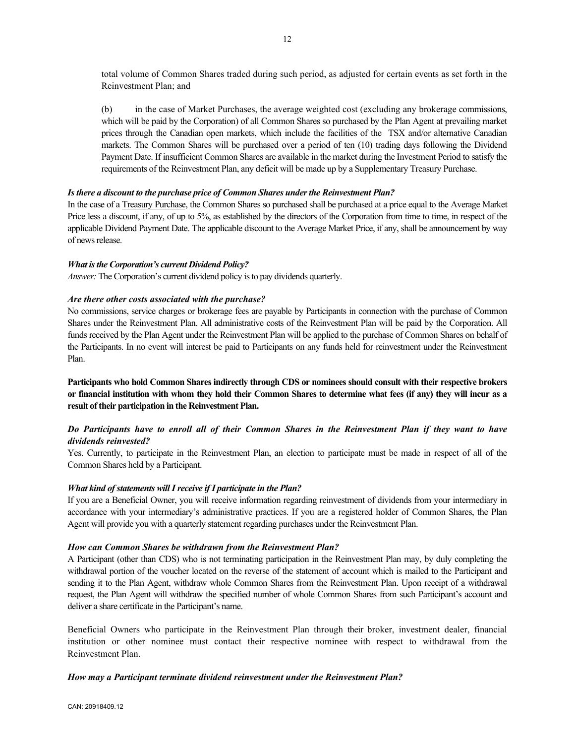total volume of Common Shares traded during such period, as adjusted for certain events as set forth in the Reinvestment Plan; and

(b) in the case of Market Purchases, the average weighted cost (excluding any brokerage commissions, which will be paid by the Corporation) of all Common Shares so purchased by the Plan Agent at prevailing market prices through the Canadian open markets, which include the facilities of the TSX and/or alternative Canadian markets. The Common Shares will be purchased over a period of ten (10) trading days following the Dividend Payment Date. If insufficient Common Shares are available in the market during the Investment Period to satisfy the requirements of the Reinvestment Plan, any deficit will be made up by a Supplementary Treasury Purchase.

#### *Is there a discount to the purchase price of Common Shares under the Reinvestment Plan?*

In the case of a Treasury Purchase, the Common Shares so purchased shall be purchased at a price equal to the Average Market Price less a discount, if any, of up to 5%, as established by the directors of the Corporation from time to time, in respect of the applicable Dividend Payment Date. The applicable discount to the Average Market Price, if any, shall be announcement by way of news release.

#### *What is the Corporation's current Dividend Policy?*

*Answer:* The Corporation's current dividend policy is to pay dividends quarterly.

## *Are there other costs associated with the purchase?*

No commissions, service charges or brokerage fees are payable by Participants in connection with the purchase of Common Shares under the Reinvestment Plan. All administrative costs of the Reinvestment Plan will be paid by the Corporation. All funds received by the Plan Agent under the Reinvestment Plan will be applied to the purchase of Common Shares on behalf of the Participants. In no event will interest be paid to Participants on any funds held for reinvestment under the Reinvestment Plan.

**Participants who hold Common Shares indirectly through CDS or nominees should consult with their respective brokers or financial institution with whom they hold their Common Shares to determine what fees (if any) they will incur as a result of their participation in the Reinvestment Plan.**

# *Do Participants have to enroll all of their Common Shares in the Reinvestment Plan if they want to have dividends reinvested?*

Yes. Currently, to participate in the Reinvestment Plan, an election to participate must be made in respect of all of the Common Shares held by a Participant.

#### *What kind of statements will I receive if I participate in the Plan?*

If you are a Beneficial Owner, you will receive information regarding reinvestment of dividends from your intermediary in accordance with your intermediary's administrative practices. If you are a registered holder of Common Shares, the Plan Agent will provide you with a quarterly statement regarding purchases under the Reinvestment Plan.

#### *How can Common Shares be withdrawn from the Reinvestment Plan?*

A Participant (other than CDS) who is not terminating participation in the Reinvestment Plan may, by duly completing the withdrawal portion of the voucher located on the reverse of the statement of account which is mailed to the Participant and sending it to the Plan Agent, withdraw whole Common Shares from the Reinvestment Plan. Upon receipt of a withdrawal request, the Plan Agent will withdraw the specified number of whole Common Shares from such Participant's account and deliver a share certificate in the Participant's name.

Beneficial Owners who participate in the Reinvestment Plan through their broker, investment dealer, financial institution or other nominee must contact their respective nominee with respect to withdrawal from the Reinvestment Plan.

# *How may a Participant terminate dividend reinvestment under the Reinvestment Plan?*